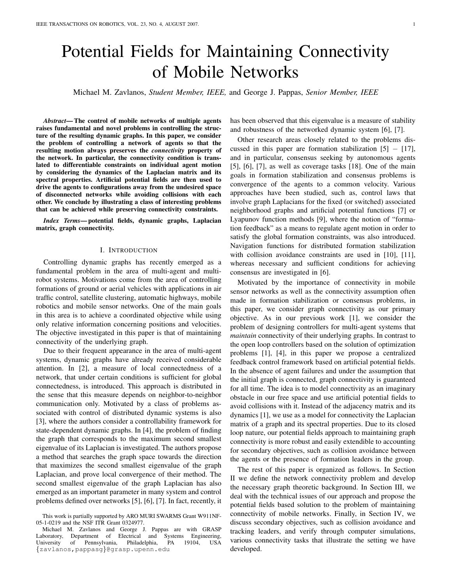# Potential Fields for Maintaining Connectivity of Mobile Networks

Michael M. Zavlanos, *Student Member, IEEE,* and George J. Pappas, *Senior Member, IEEE*

*Abstract*— The control of mobile networks of multiple agents raises fundamental and novel problems in controlling the structure of the resulting dynamic graphs. In this paper, we consider the problem of controlling a network of agents so that the resulting motion always preserves the *connectivity* property of the network. In particular, the connectivity condition is translated to differentiable constraints on individual agent motion by considering the dynamics of the Laplacian matrix and its spectral properties. Artificial potential fields are then used to drive the agents to configurations away from the undesired space of disconnected networks while avoiding collisions with each other. We conclude by illustrating a class of interesting problems that can be achieved while preserving connectivity constraints.

*Index Terms*— potential fields, dynamic graphs, Laplacian matrix, graph connectivity.

#### I. INTRODUCTION

Controlling dynamic graphs has recently emerged as a fundamental problem in the area of multi-agent and multirobot systems. Motivations come from the area of controlling formations of ground or aerial vehicles with applications in air traffic control, satellite clustering, automatic highways, mobile robotics and mobile sensor networks. One of the main goals in this area is to achieve a coordinated objective while using only relative information concerning positions and velocities. The objective investigated in this paper is that of maintaining connectivity of the underlying graph.

Due to their frequent appearance in the area of multi-agent systems, dynamic graphs have already received considerable attention. In [2], a measure of local connectedness of a network, that under certain conditions is sufficient for global connectedness, is introduced. This approach is distributed in the sense that this measure depends on neighbor-to-neighbor communication only. Motivated by a class of problems associated with control of distributed dynamic systems is also [3], where the authors consider a controllability framework for state-dependent dynamic graphs. In [4], the problem of finding the graph that corresponds to the maximum second smallest eigenvalue of its Laplacian is investigated. The authors propose a method that searches the graph space towards the direction that maximizes the second smallest eigenvalue of the graph Laplacian, and prove local convergence of their method. The second smallest eigenvalue of the graph Laplacian has also emerged as an important parameter in many system and control problems defined over networks [5], [6], [7]. In fact, recently, it has been observed that this eigenvalue is a measure of stability and robustness of the networked dynamic system [6], [7].

Other research areas closely related to the problems discussed in this paper are formation stabilization  $[5] - [17]$ , and in particular, consensus seeking by autonomous agents [5], [6], [7], as well as coverage tasks [18]. One of the main goals in formation stabilization and consensus problems is convergence of the agents to a common velocity. Various approaches have been studied, such as, control laws that involve graph Laplacians for the fixed (or switched) associated neighborhood graphs and artificial potential functions [7] or Lyapunov function methods [9], where the notion of "formation feedback" as a means to regulate agent motion in order to satisfy the global formation constraints, was also introduced. Navigation functions for distributed formation stabilization with collision avoidance constraints are used in [10], [11], whereas necessary and sufficient conditions for achieving consensus are investigated in [6].

Motivated by the importance of connectivity in mobile sensor networks as well as the connectivity assumption often made in formation stabilization or consensus problems, in this paper, we consider graph connectivity as our primary objective. As in our previous work [1], we consider the problem of designing controllers for multi-agent systems that *maintain* connectivity of their underlying graphs. In contrast to the open loop controllers based on the solution of optimization problems [1], [4], in this paper we propose a centralized feedback control framework based on artificial potential fields. In the absence of agent failures and under the assumption that the initial graph is connected, graph connectivity is guaranteed for all time. The idea is to model connectivity as an imaginary obstacle in our free space and use artificial potential fields to avoid collisions with it. Instead of the adjacency matrix and its dynamics [1], we use as a model for connectivity the Laplacian matrix of a graph and its spectral properties. Due to its closed loop nature, our potential fields approach to maintaining graph connectivity is more robust and easily extendible to accounting for secondary objectives, such as collision avoidance between the agents or the presence of formation leaders in the group.

The rest of this paper is organized as follows. In Section II we define the network connectivity problem and develop the necessary graph theoretic background. In Section III, we deal with the technical issues of our approach and propose the potential fields based solution to the problem of maintaining connectivity of mobile networks. Finally, in Section IV, we discuss secondary objectives, such as collision avoidance and tracking leaders, and verify through computer simulations, various connectivity tasks that illustrate the setting we have developed.

This work is partially supported by ARO MURI SWARMS Grant W911NF-05-1-0219 and the NSF ITR Grant 0324977.

Michael M. Zavlanos and George J. Pappas are with GRASP Laboratory, Department of Electrical and Systems Engineering,<br>University of Pennsylvania, Philadelphia, PA 19104, USA University of Pennsylvania, Philadelphia, PA 19104, USA {zavlanos,pappasg}@grasp.upenn.edu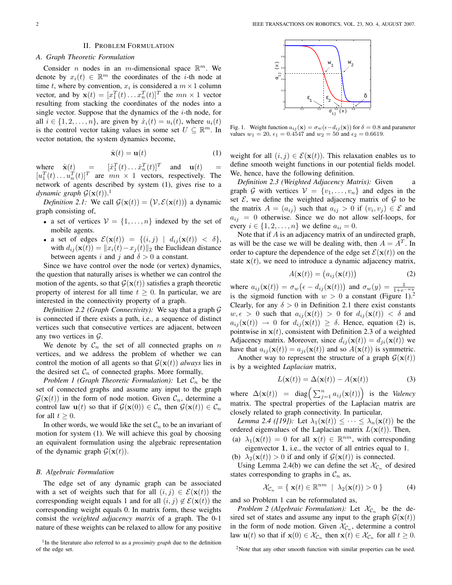## II. PROBLEM FORMULATION

# *A. Graph Theoretic Formulation*

Consider *n* nodes in an *m*-dimensional space  $\mathbb{R}^m$ . We denote by  $x_i(t) \in \mathbb{R}^m$  the coordinates of the *i*-th node at time t, where by convention,  $x_i$  is considered a  $m \times 1$  column vector, and by  $\mathbf{x}(t) = [x_1^T(t) \dots x_n^T(t)]^T$  the  $mn \times 1$  vector resulting from stacking the coordinates of the nodes into a single vector. Suppose that the dynamics of the  $i$ -th node, for all  $i \in \{1, 2, \ldots, n\}$ , are given by  $\dot{x}_i(t) = u_i(t)$ , where  $u_i(t)$ is the control vector taking values in some set  $U \subseteq \mathbb{R}^m$ . In vector notation, the system dynamics become,

$$
\dot{\mathbf{x}}(t) = \mathbf{u}(t) \tag{1}
$$

where  $\dot{\mathbf{x}}(t) = [x_1^T(t) \dots x_n^T(t)]^T$  and  $\mathbf{u}(t) =$  $[u_1^T(t)...u_n^T(t)]^T$  are  $mn \times 1$  vectors, respectively. The network of agents described by system (1), gives rise to a *dynamic graph*  $\mathcal{G}(\mathbf{x}(t))$ .<sup>1</sup>

*namic graph*  $\mathcal{G}(\mathbf{x}(t))$ .<br>Definition 2.1: We call  $\mathcal{G}(\mathbf{x}(t)) = (\mathcal{V}, \mathcal{E}(\mathbf{x}(t)))$  a dynamic graph consisting of,

- a set of vertices  $V = \{1, \ldots, n\}$  indexed by the set of mobile agents.
- a set of edges  $\mathcal{E}(\mathbf{x}(t)) = \{(i,j) | d_{ij}(\mathbf{x}(t)) < \delta\},\$ with  $d_{ij}(\mathbf{x}(t)) = ||x_i(t)-x_j(t)||_2$  the Euclidean distance between agents i and j and  $\delta > 0$  a constant.

Since we have control over the node (or vertex) dynamics, the question that naturally arises is whether we can control the motion of the agents, so that  $\mathcal{G}(\mathbf{x}(t))$  satisfies a graph theoretic property of interest for all time  $t \geq 0$ . In particular, we are interested in the connectivity property of a graph.

*Definition 2.2 (Graph Connectivity):* We say that a graph G is connected if there exists a path, i.e., a sequence of distinct vertices such that consecutive vertices are adjacent, between any two vertices in  $\mathcal{G}$ .

We denote by  $C_n$  the set of all connected graphs on n vertices, and we address the problem of whether we can control the motion of all agents so that  $G(x(t))$  *always* lies in the desired set  $C_n$  of connected graphs. More formally,

*Problem 1 (Graph Theoretic Formulation):* Let  $\mathcal{C}_n$  be the set of connected graphs and assume any input to the graph  $\mathcal{G}(\mathbf{x}(t))$  in the form of node motion. Given  $\mathcal{C}_n$ , determine a control law  $\mathbf{u}(t)$  so that if  $\mathcal{G}(\mathbf{x}(0)) \in \mathcal{C}_n$  then  $\mathcal{G}(\mathbf{x}(t)) \in \mathcal{C}_n$ for all  $t > 0$ .

In other words, we would like the set  $\mathcal{C}_n$  to be an invariant of motion for system (1). We will achieve this goal by choosing an equivalent formulation using the algebraic representation of the dynamic graph  $\mathcal{G}(\mathbf{x}(t))$ .

# *B. Algebraic Formulation*

The edge set of any dynamic graph can be associated with a set of weights such that for all  $(i, j) \in \mathcal{E}(\mathbf{x}(t))$  the corresponding weight equals 1 and for all  $(i, j) \notin \mathcal{E}(\mathbf{x}(t))$  the corresponding weight equals 0. In matrix form, these weights consist the *weighted adjacency matrix* of a graph. The 0-1 nature of these weights can be relaxed to allow for any positive

<sup>1</sup>In the literature also referred to as a *proximity graph* due to the definition of the edge set.



Fig. 1. Weight function  $a_{ij}(\mathbf{x}) = \sigma_w(\epsilon - d_{ij}(\mathbf{x}))$  for  $\delta = 0.8$  and parameter values  $w_1 = 20$ ,  $\epsilon_1 = 0.4547$  and  $w_2 = 50$  and  $\epsilon_2 = 0.6619$ .

weight for all  $(i, j) \in \mathcal{E}(\mathbf{x}(t))$ . This relaxation enables us to define smooth weight functions in our potential fields model. We, hence, have the following definition.

*Definition 2.3 (Weighted Adjacency Matrix): Given* graph G with vertices  $V = \{v_1, \ldots, v_n\}$  and edges in the set  $\mathcal{E}$ , we define the weighted adjacency matrix of  $\mathcal{G}$  to be the matrix  $A = (a_{ij})$  such that  $a_{ij} > 0$  if  $(v_i, v_j) \in \mathcal{E}$  and  $a_{ij} = 0$  otherwise. Since we do not allow self-loops, for every  $i \in \{1, 2, ..., n\}$  we define  $a_{ii} = 0$ .

Note that if A is an adjacency matrix of an undirected graph, as will be the case we will be dealing with, then  $A = A<sup>T</sup>$ . In order to capture the dependence of the edge set  $\mathcal{E}(\mathbf{x}(t))$  on the state  $x(t)$ , we need to introduce a dynamic adjacency matrix,

$$
A(\mathbf{x}(t)) = (a_{ij}(\mathbf{x}(t)))
$$
 (2)

where  $a_{ij}(\mathbf{x}(t)) = \sigma_w$  $\overline{e} = (e - d_{ij}(\mathbf{x}(t)))$  and  $\sigma_w(y) = \frac{1}{1 + e^{-wy}}$ is the sigmoid function with  $w > 0$  a constant (Figure 1).<sup>2</sup> Clearly, for any  $\delta > 0$  in Definition 2.1 there exist constants  $w, \epsilon > 0$  such that  $a_{ij}(\mathbf{x}(t)) > 0$  for  $d_{ij}(\mathbf{x}(t)) < \delta$  and  $a_{ij}(\mathbf{x}(t)) \rightarrow 0$  for  $d_{ij}(\mathbf{x}(t)) \geq \delta$ . Hence, equation (2) is, pointwise in  $x(t)$ , consistent with Definition 2.3 of a weighted Adjacency matrix. Moreover, since  $d_{ij}(\mathbf{x}(t)) = d_{ji}(\mathbf{x}(t))$  we have that  $a_{ij}(\mathbf{x}(t)) = a_{ji}(\mathbf{x}(t))$  and so  $A(\mathbf{x}(t))$  is symmetric.

Another way to represent the structure of a graph  $\mathcal{G}(\mathbf{x}(t))$ is by a weighted *Laplacian* matrix,

$$
L(\mathbf{x}(t)) = \Delta(\mathbf{x}(t)) - A(\mathbf{x}(t))
$$
\n(3)

where  $\Delta(\mathbf{x}(t)) = \text{diag}\Big(\sum_{j=1}^n a_{ij}(\mathbf{x}(t))\Big)$  is the *Valency* matrix. The spectral properties of the Laplacian matrix are closely related to graph connectivity. In particular,

*Lemma 2.4 ([19]):* Let  $\lambda_1(\mathbf{x}(t)) \leq \cdots \leq \lambda_n(\mathbf{x}(t))$  be the ordered eigenvalues of the Laplacian matrix  $L(\mathbf{x}(t))$ . Then,

- (a)  $\lambda_1(\mathbf{x}(t)) = 0$  for all  $\mathbf{x}(t) \in \mathbb{R}^{nm}$ , with corresponding eigenvector 1, i.e., the vector of all entries equal to 1.
- (b)  $\lambda_2(\mathbf{x}(t)) > 0$  if and only if  $\mathcal{G}(\mathbf{x}(t))$  is connected.

Using Lemma 2.4(b) we can define the set  $\mathcal{X}_{\mathcal{C}_n}$  of desired states corresponding to graphs in  $\mathcal{C}_n$  as,

$$
\mathcal{X}_{\mathcal{C}_n} = \{ \mathbf{x}(t) \in \mathbb{R}^{nm} \mid \lambda_2(\mathbf{x}(t)) > 0 \}
$$
 (4)

and so Problem 1 can be reformulated as,

*Problem 2 (Algebraic Formulation):* Let  $\mathcal{X}_{\mathcal{C}_n}$  be the desired set of states and assume any input to the graph  $G(x(t))$ in the form of node motion. Given  $\mathcal{X}_{\mathcal{C}_n}$ , determine a control law  $\mathbf{u}(t)$  so that if  $\mathbf{x}(0) \in \mathcal{X}_{\mathcal{C}_n}$  then  $\mathbf{x}(t) \in \mathcal{X}_{\mathcal{C}_n}$  for all  $t \geq 0$ .

<sup>2</sup>Note that any other smooth function with similar properties can be used.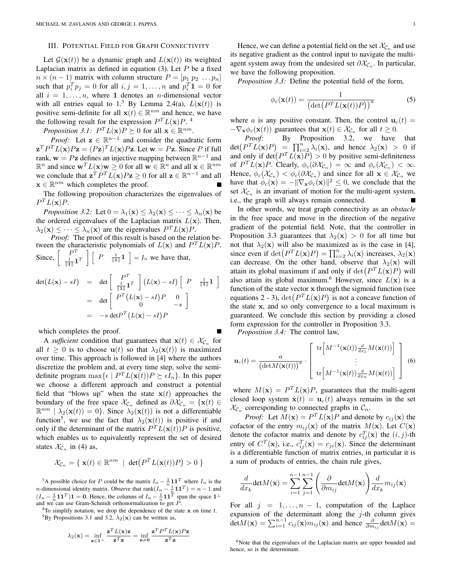#### III. POTENTIAL FIELD FOR GRAPH CONNECTIVITY

Let  $\mathcal{G}(\mathbf{x}(t))$  be a dynamic graph and  $L(\mathbf{x}(t))$  its weighted Laplacian matrix as defined in equation  $(3)$ . Let P be a fixed  $n \times (n-1)$  matrix with column structure  $P = [p_1 \ p_2 \dots p_n]$ such that  $p_i^T p_j = 0$  for all  $i, j = 1, ..., n$  and  $p_i^T 1 = 0$  for all  $i = 1, \ldots, n$ , where 1 denotes an *n*-dimensional vector with all entries equal to 1.<sup>3</sup> By Lemma 2.4(a),  $L(\mathbf{x}(t))$  is positive semi-definite for all  $\mathbf{x}(t) \in \mathbb{R}^{nm}$  and hence, we have the following result for the expression  $P^{T}L(\mathbf{x})P$ .

*Proposition 3.1:*  $P^{T}L(\mathbf{x})P \succeq 0$  for all  $\mathbf{x} \in \mathbb{R}^{nm}$ .

*Proof:* Let  $z \in \mathbb{R}^{n-1}$  and consider the quadratic form  $\mathbf{z}^T P^T L(\mathbf{x}) P \mathbf{z} = (P \mathbf{z})^T L(\mathbf{x}) P \mathbf{z}$ . Let  $\mathbf{w} = P \mathbf{z}$ . Since P if full rank,  $\mathbf{w} = P\mathbf{z}$  defines an injective mapping between  $\mathbb{R}^{n-1}$  and  $\mathbb{R}^n$  and since  $\mathbf{w}^T L(\mathbf{x}) \mathbf{w} \ge 0$  for all  $\mathbf{w} \in \mathbb{R}^n$  and all  $\mathbf{x} \in \mathbb{R}^{nm}$ we conclude that  $\mathbf{z}^T P^T L(\mathbf{x}) P \mathbf{z} \ge 0$  for all  $\mathbf{z} \in \mathbb{R}^{n-1}$  and all  $\mathbf{x} \in \mathbb{R}^{nm}$  which completes the proof.

The following proposition characterizes the eigenvalues of  $P^{T}L(\mathbf{x})P.$ 

*Proposition 3.2:* Let  $0 = \lambda_1(\mathbf{x}) \leq \lambda_2(\mathbf{x}) \leq \cdots \leq \lambda_n(\mathbf{x})$  be the ordered eigenvalues of the Laplacian matrix  $L(\mathbf{x})$ . Then,  $\lambda_2(\mathbf{x}) \leq \cdots \leq \lambda_n(\mathbf{x})$  are the eigenvalues  $P^{T}L(\mathbf{x})P$ .

*Proof:* The proof of this result is based on the relation between the characteristic polynomials of  $L(\mathbf{x})$  and  $P^{T}L(\mathbf{x})P$ .<br>
Since,  $\begin{bmatrix} P^{T} \\ 1 & 1 \end{bmatrix} \begin{bmatrix} P \\ \frac{1}{11}\end{bmatrix} = I_n$  we have that,  $\frac{1}{\|\mathbf{1}\|} \mathbf{1}^T$ uer<br>1  $P=\frac{1}{\|\mathbf{1}\|}\mathbf{1}$ .<br>T  $= I_n$  we have that,

$$
\det(L(\mathbf{x}) - sI) = \det \begin{bmatrix} P^T \\ \frac{1}{\|\mathbf{I}\|}\mathbf{1}^T \end{bmatrix} (L(\mathbf{x}) - sI) \begin{bmatrix} P & \frac{1}{\|\mathbf{I}\|}\mathbf{1} \end{bmatrix}
$$

$$
= \det \begin{bmatrix} P^T(L(\mathbf{x}) - sI)P & 0 \\ 0 & -s \end{bmatrix}
$$

$$
= -s \det P^T(L(\mathbf{x}) - sI)P
$$

which completes the proof.

A *sufficient* condition that guarantees that  $x(t) \in \mathcal{X}_{\mathcal{C}_n}$  for all  $t \geq 0$  is to choose  $\mathbf{u}(t)$  so that  $\lambda_2(\mathbf{x}(t))$  is maximized over time. This approach is followed in [4] where the authors discretize the problem and, at every time step, solve the semidefinite program  $\max{\{\epsilon \mid P^T L(\mathbf{x}(t)) P \succeq \epsilon I_n\}}$ . In this paper we choose a different approach and construct a potential field that "blows up" when the state  $x(t)$  approaches the boundary of the free space  $\mathcal{X}_{\mathcal{C}_n}$  defined as  $\partial \mathcal{X}_{\mathcal{C}_n} = {\mathbf{x}(t) \in \mathcal{C}_n}$  $\mathbb{R}^{nm} \mid \lambda_2(\mathbf{x}(t)) = 0$ . Since  $\lambda_2(\mathbf{x}(t))$  is not a differentiable function<sup>5</sup>, we use the fact that  $\lambda_2(\mathbf{x}(t))$  is positive if and only if the determinant of the matrix  $P^{T}L(\mathbf{x}(t))P$  is positive, which enables us to equivalently represent the set of desired states  $\mathcal{X}_{\mathcal{C}_n}$  in (4) as,

$$
\mathcal{X}_{\mathcal{C}_n} = \{ \mathbf{x}(t) \in \mathbb{R}^{nm} \mid \det(P^T L(\mathbf{x}(t))P) > 0 \}
$$

<sup>3</sup>A possible choice for P could be the matrix  $I_n - \frac{1}{n} \mathbf{1} \mathbf{1}^T$  where  $I_n$  is the A possible enoted for T codul be the matrix  $n_n = \frac{n}{n} \mathbf{1} \mathbf{1}$  where  $n_n$  is the n-dimensional identity matrix. Observe that  $\text{rank}(I_n - \frac{1}{n} \mathbf{1} \mathbf{1}^T) = n - 1$  and  $(I_n - \frac{1}{n} \mathbf{1} \mathbf{1}^T) \mathbf{1} = \mathbf{0}$ . Hence, the columns of  $I_n - \frac{1}{n} \mathbf{1} \mathbf{1}^T$  span the space  $\mathbf{1}^{\perp}$ and we can use Gram-Schmidt orthonormalization to get  $P$ .

<sup>4</sup>To simplify notation, we drop the dependence of the state  $x$  on time  $t$ . <sup>5</sup>By Propositions 3.1 and 3.2,  $\lambda_2(\mathbf{x})$  can be written as,

$$
\lambda_2(\mathbf{x}) = \inf_{\mathbf{z} \in \mathbf{1}^\perp} \frac{\mathbf{z}^T L(\mathbf{x}) \mathbf{z}}{\mathbf{z}^T \mathbf{z}} = \inf_{\mathbf{z} \neq \mathbf{0}} \frac{\mathbf{z}^T P^T L(\mathbf{x}) P \mathbf{z}}{\mathbf{z}^T \mathbf{z}}
$$

Hence, we can define a potential field on the set  $\mathcal{X}_{\mathcal{C}_n}$  and use its negative gradient as the control input to navigate the multiagent system away from the undesired set  $\partial \mathcal{X}_{\mathcal{C}_n}$ . In particular, we have the following proposition.

*Proposition 3.3:* Define the potential field of the form,

$$
\phi_c(\mathbf{x}(t)) = \frac{1}{\left(\det\left(P^T L(\mathbf{x}(t))P\right)\right)^a}
$$
\n(5)

where a is any positive constant. Then, the control  $\mathbf{u}_c(t) =$  $-\nabla_{\mathbf{x}} \phi_c(\mathbf{x}(t))$  guarantees that  $\mathbf{x}(t) \in \mathcal{X}_{\mathcal{C}_n}$  for all  $t \geq 0$ .

*Proof:* By Proposition 3.2, we have that  $Proof:  
det(P<sup>T</sup>L(x)P)$ By Proposition 5.2, we have that<br>=  $\prod_{i=2}^{n} \lambda_i(\mathbf{x})$ , and hence  $\lambda_2(\mathbf{x}) > 0$  if  $\det(P^{\perp}L(\mathbf{x})P) = \prod_{i=2} \lambda_i(\mathbf{x})$ , and nence  $\lambda_2(\mathbf{x}) > 0$  in and only if  $\det(P^T L(\mathbf{x})P) > 0$  by positive semi-definiteness of  $P^{T}L(\mathbf{x})P$ . Clearly,  $\phi_{c}(\partial \mathcal{X}_{\mathcal{C}_n}) = \infty$  and  $\phi_{c}(\mathcal{X}_{\mathcal{C}_n}) < \infty$ . Hence,  $\phi_c(\mathcal{X}_{\mathcal{C}_n}) < \phi_c(\partial \mathcal{X}_{\mathcal{C}_n})$  and since for all  $\mathbf{x} \in \mathcal{X}_{\mathcal{C}_n}$  we have that  $\phi_c(\mathbf{x}) = -\|\nabla_{\mathbf{x}} \phi_c(\mathbf{x})\|^2 \leq 0$ , we conclude that the set  $\mathcal{X}_{\mathcal{C}_n}$  is an invariant of motion for the multi-agent system, i.e., the graph will always remain connected.

In other words, we treat graph connectivity as an *obstacle* in the free space and move in the direction of the negative gradient of the potential field. Note, that the controller in Proposition 3.3 guarantees that  $\lambda_2(\mathbf{x}) > 0$  for all time but not that  $\lambda_2(\mathbf{x})$  will also be maximized as is the case in [4], not that  $\lambda_2(x)$  will also be maximized as is the case in [4],<br>since even if  $\det(P^T L(x)P) = \prod_{i=2}^n \lambda_i(x)$  increases,  $\lambda_2(x)$ can decrease. On the other hand, observe that  $\lambda_2(\mathbf{x})$  will can decrease. On the other hand, observe that  $\lambda_2(\mathbf{x})$  will<br>attain its global maximum if and only if  $\det(P^T L(\mathbf{x}) P)$  will also attain its global maximum.<sup>6</sup> However, since  $L(\mathbf{x})$  is a function of the state vector x through the sigmoid function (see function of the state vector **x** through the sigmoid function (see<br>equations 2 - 3), det  $(P<sup>T</sup>L(x)P)$  is not a concave function of the state x, and so only convergence to a local maximum is guaranteed. We conclude this section by providing a closed form expression for the controller in Proposition 3.3.

*Proposition 3.4:* The control law,

$$
\mathbf{u}_c(t) = \frac{a}{\left(\det M(\mathbf{x}(t))\right)^a} \cdot \left[\begin{array}{c} \text{tr}\left[M^{-1}(\mathbf{x}(t))\frac{d}{dx_1}M(\mathbf{x}(t))\right] \\ \vdots \\ \text{tr}\left[M^{-1}(\mathbf{x}(t))\frac{d}{dx_n}M(\mathbf{x}(t))\right] \end{array}\right] \tag{6}
$$

where  $M(\mathbf{x}) = P^{T} L(\mathbf{x}) P$ , guarantees that the multi-agent closed loop system  $\dot{\mathbf{x}}(t) = \mathbf{u}_c(t)$  always remains in the set  $\mathcal{X}_{\mathcal{C}_n}$  corresponding to connected graphs in  $\mathcal{C}_n$ .

*Proof:* Let  $M(\mathbf{x}) = P^{T} L(\mathbf{x}) P$  and denote by  $c_{ij}(\mathbf{x})$  the cofactor of the entry  $m_{ij}(\mathbf{x})$  of the matrix  $M(\mathbf{x})$ . Let  $C(\mathbf{x})$ denote the cofactor matrix and denote by  $c_{ij}^T(\mathbf{x})$  the  $(i, j)$ -th entry of  $C^T(\mathbf{x})$ , i.e.,  $c_{ij}^T(\mathbf{x}) = c_{ji}(\mathbf{x})$ . Since the determinant is a differentiable function of matrix entries, in particular it is a sum of products of entries, the chain rule gives,

$$
\frac{d}{dx_k}\text{det}M(\mathbf{x})=\sum_{i=1}^{n-1}\sum_{j=1}^{n-1}\left(\frac{\partial}{\partial m_{ij}}\text{det}M(\mathbf{x})\right)\frac{d}{dx_k}m_{ij}(\mathbf{x})
$$

For all  $j = 1, \ldots, n - 1$ , computation of the Laplace expansion of the determinant along the  $j$ -th column gives expansion of the determinant along the *j*-th column gives<br>det $M(\mathbf{x}) = \sum_{i=1}^{n-1} c_{ij}(\mathbf{x}) m_{ij}(\mathbf{x})$  and hence  $\frac{\partial}{\partial m_{ij}} \det M(\mathbf{x}) =$ 

<sup>6</sup>Note that the eigenvalues of the Laplacian matrix are upper bounded and hence, so is the determinant.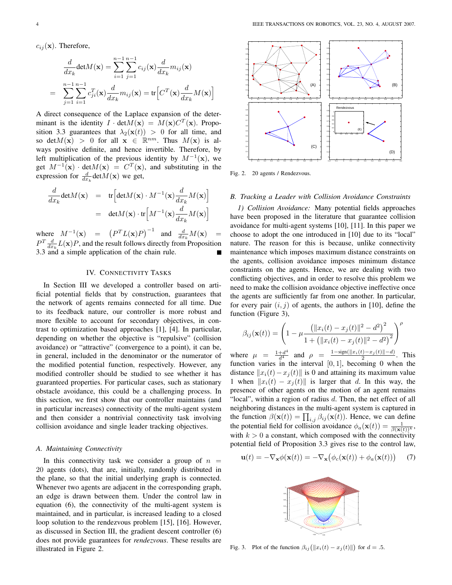$c_{ij}(\mathbf{x})$ . Therefore,

$$
\frac{d}{dx_k} \det M(\mathbf{x}) = \sum_{i=1}^{n-1} \sum_{j=1}^{n-1} c_{ij}(\mathbf{x}) \frac{d}{dx_k} m_{ij}(\mathbf{x})
$$

$$
= \sum_{j=1}^{n-1} \sum_{i=1}^{n-1} c_{ji}^T(\mathbf{x}) \frac{d}{dx_k} m_{ij}(\mathbf{x}) = \text{tr}\Big[C^T(\mathbf{x}) \frac{d}{dx_k} M(\mathbf{x})\Big]
$$

A direct consequence of the Laplace expansion of the determinant is the identity  $I \cdot det M(\mathbf{x}) = M(\mathbf{x}) C^T(\mathbf{x})$ . Proposition 3.3 guarantees that  $\lambda_2(\mathbf{x}(t)) > 0$  for all time, and so det $M(\mathbf{x}) > 0$  for all  $\mathbf{x} \in \mathbb{R}^{nm}$ . Thus  $M(\mathbf{x})$  is always positive definite, and hence invertible. Therefore, by left multiplication of the previous identity by  $M^{-1}(\mathbf{x})$ , we get  $M^{-1}(\mathbf{x}) \cdot \det M(\mathbf{x}) = C^T(\mathbf{x})$ , and substituting in the expression for  $\frac{d}{dx_k} det M(\mathbf{x})$  we get,

$$
\frac{d}{dx_k} \det M(\mathbf{x}) = \text{tr} \Big[ \det M(\mathbf{x}) \cdot M^{-1}(\mathbf{x}) \frac{d}{dx_k} M(\mathbf{x}) \Big] \n= \det M(\mathbf{x}) \cdot \text{tr} \Big[ M^{-1}(\mathbf{x}) \frac{d}{dx_k} M(\mathbf{x}) \Big]
$$

where  $M^{-1}(\mathbf{x}) = (P^T L(\mathbf{x}) P)^{-1}$  and  $\frac{d}{dx_k} M(\mathbf{x}) =$  $P^{T} \frac{d}{dx_{k}} L(\mathbf{x}) P$ , and the result follows directly from Proposition 3.3 and a simple application of the chain rule.

# IV. CONNECTIVITY TASKS

In Section III we developed a controller based on artificial potential fields that by construction, guarantees that the network of agents remains connected for all time. Due to its feedback nature, our controller is more robust and more flexible to account for secondary objectives, in contrast to optimization based approaches [1], [4]. In particular, depending on whether the objective is "repulsive" (collision avoidance) or "attractive" (convergence to a point), it can be, in general, included in the denominator or the numerator of the modified potential function, respectively. However, any modified controller should be studied to see whether it has guaranteed properties. For particular cases, such as stationary obstacle avoidance, this could be a challenging process. In this section, we first show that our controller maintains (and in particular increases) connectivity of the multi-agent system and then consider a nontrivial connectivity task involving collision avoidance and single leader tracking objectives.

### *A. Maintaining Connectivity*

In this connectivity task we consider a group of  $n =$ 20 agents (dots), that are, initially, randomly distributed in the plane, so that the initial underlying graph is connected. Whenever two agents are adjacent in the corresponding graph, an edge is drawn between them. Under the control law in equation (6), the connectivity of the multi-agent system is maintained, and in particular, is increased leading to a closed loop solution to the rendezvous problem [15], [16]. However, as discussed in Section III, the gradient descent controller (6) does not provide guarantees for *rendezvous*. These results are illustrated in Figure 2.



Fig. 2. 20 agents / Rendezvous.

#### *B. Tracking a Leader with Collision Avoidance Constraints*

*1) Collision Avoidance:* Many potential fields approaches have been proposed in the literature that guarantee collision avoidance for multi-agent systems [10], [11]. In this paper we choose to adopt the one introduced in [10] due to its "local" nature. The reason for this is because, unlike connectivity maintenance which imposes maximum distance constraints on the agents, collision avoidance imposes minimum distance constraints on the agents. Hence, we are dealing with two conflicting objectives, and in order to resolve this problem we need to make the collision avoidance objective ineffective once the agents are sufficiently far from one another. In particular, for every pair  $(i, j)$  of agents, the authors in [10], define the function (Figure 3),

$$
\beta_{ij}(\mathbf{x}(t)) = \left(1 - \mu \frac{\left(\|x_i(t) - x_j(t)\|^2 - d^2\right)^2}{1 + \left(\|x_i(t) - x_j(t)\|^2 - d^2\right)^2}\right)^{\rho}
$$

where  $\mu = \frac{1+d^4}{d^4}$  and  $\rho = \frac{1-\text{sign}(\Vert x_i(t)-x_j(t)\Vert-d)}{2}$ . This function varies in the interval  $[0, 1]$ , becoming 0 when the distance  $||x_i(t)-x_j(t)||$  is 0 and attaining its maximum value 1 when  $||x_i(t) - x_j(t)||$  is larger that d. In this way, the presence of other agents on the motion of an agent remains "local", within a region of radius d. Then, the net effect of all neighboring distances in the multi-agent system is captured in the function  $\beta(\mathbf{x}(t)) = \prod_{i,j} \beta_{ij}(\mathbf{x}(t))$ . Hence, we can define the potential field for collision avoidance  $\phi_a(\mathbf{x}(t)) = \frac{1}{\beta(\mathbf{x}(t))^k}$ , with  $k > 0$  a constant, which composed with the connectivity potential field of Proposition 3.3 gives rise to the control law,

$$
\mathbf{u}(t) = -\nabla_{\mathbf{x}} \phi(\mathbf{x}(t)) = -\nabla_{\mathbf{x}} (\phi_c(\mathbf{x}(t)) + \phi_a(\mathbf{x}(t))) \tag{7}
$$



Fig. 3. Plot of the function  $\beta_{ij} (||x_i(t) - x_j(t)||)$  for  $d = .5$ .